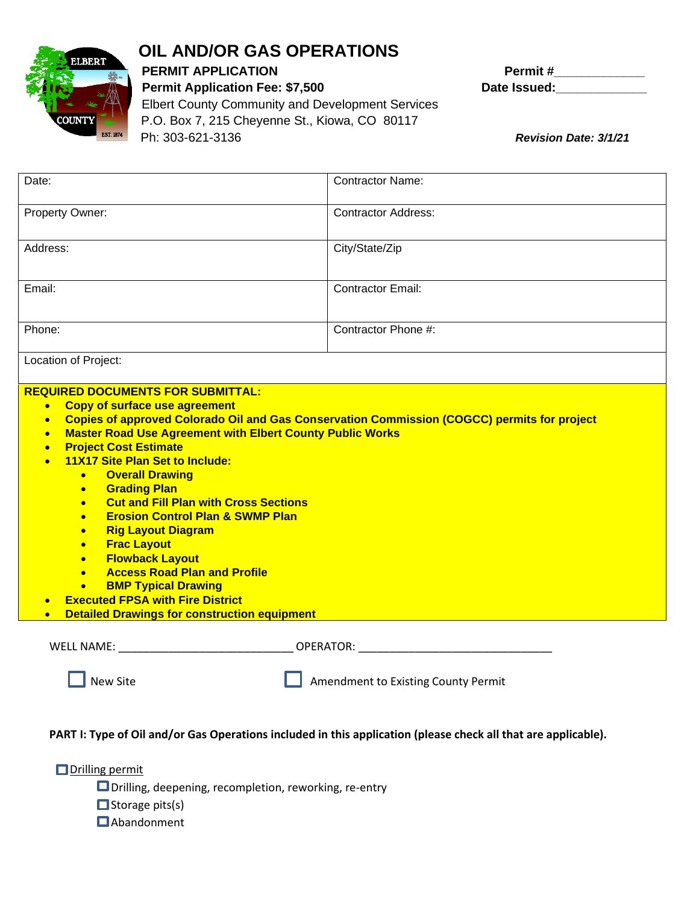

## **OIL AND/OR GAS OPERATIONS**

Permit Application Fee: \$7,500 Date Issued: Elbert County Community and Development Services P.O. Box 7, 215 Cheyenne St., Kiowa, CO 80117 Ph: 303-621-3136 *Revision Date: 3/1/21* 

**PERMIT APPLICATION PERMIT APPLICATION** 

| Date:                                                                                                                                                                                                                                                                                                                                                                                                                                                                                                                                                                                                                                                                                                                                                                                                                                                                                                                    | <b>Contractor Name:</b>                                                                                                                                                                                                        |  |  |
|--------------------------------------------------------------------------------------------------------------------------------------------------------------------------------------------------------------------------------------------------------------------------------------------------------------------------------------------------------------------------------------------------------------------------------------------------------------------------------------------------------------------------------------------------------------------------------------------------------------------------------------------------------------------------------------------------------------------------------------------------------------------------------------------------------------------------------------------------------------------------------------------------------------------------|--------------------------------------------------------------------------------------------------------------------------------------------------------------------------------------------------------------------------------|--|--|
| Property Owner:                                                                                                                                                                                                                                                                                                                                                                                                                                                                                                                                                                                                                                                                                                                                                                                                                                                                                                          | <b>Contractor Address:</b>                                                                                                                                                                                                     |  |  |
| Address:                                                                                                                                                                                                                                                                                                                                                                                                                                                                                                                                                                                                                                                                                                                                                                                                                                                                                                                 | City/State/Zip                                                                                                                                                                                                                 |  |  |
| Email:                                                                                                                                                                                                                                                                                                                                                                                                                                                                                                                                                                                                                                                                                                                                                                                                                                                                                                                   | <b>Contractor Email:</b>                                                                                                                                                                                                       |  |  |
| Phone:                                                                                                                                                                                                                                                                                                                                                                                                                                                                                                                                                                                                                                                                                                                                                                                                                                                                                                                   | Contractor Phone #:                                                                                                                                                                                                            |  |  |
| Location of Project:                                                                                                                                                                                                                                                                                                                                                                                                                                                                                                                                                                                                                                                                                                                                                                                                                                                                                                     |                                                                                                                                                                                                                                |  |  |
| <b>REQUIRED DOCUMENTS FOR SUBMITTAL:</b><br>• Copy of surface use agreement<br>Copies of approved Colorado Oil and Gas Conservation Commission (COGCC) permits for project<br>$\bullet$<br><b>Master Road Use Agreement with Elbert County Public Works</b><br>$\bullet$<br><b>Project Cost Estimate</b><br>$\bullet$<br>11X17 Site Plan Set to Include:<br>$\bullet$<br><b>Overall Drawing</b><br>$\bullet$<br><b>Grading Plan</b><br>$\bullet$<br><b>Cut and Fill Plan with Cross Sections</b><br>$\bullet$<br><b>Erosion Control Plan &amp; SWMP Plan</b><br>$\bullet$<br><b>Rig Layout Diagram</b><br>$\bullet$<br><b>Frac Layout</b><br>$\bullet$<br><b>Flowback Layout</b><br>$\bullet$<br><b>Access Road Plan and Profile</b><br>$\bullet$<br><b>BMP Typical Drawing</b><br>$\bullet$<br><b>Executed FPSA with Fire District</b><br>$\bullet$<br><b>Detailed Drawings for construction equipment</b><br>$\bullet$ |                                                                                                                                                                                                                                |  |  |
| WELL NAME:                                                                                                                                                                                                                                                                                                                                                                                                                                                                                                                                                                                                                                                                                                                                                                                                                                                                                                               | OPERATOR: New York State State State State State State State State State State State State State State State State State State State State State State State State State State State State State State State State State State |  |  |
| <b>New Site</b><br>Amendment to Existing County Permit                                                                                                                                                                                                                                                                                                                                                                                                                                                                                                                                                                                                                                                                                                                                                                                                                                                                   |                                                                                                                                                                                                                                |  |  |

## **PART I: Type of Oil and/or Gas Operations included in this application (please check all that are applicable).**

**ODrilling permit** 

■ Drilling, deepening, recompletion, reworking, re-entry

 $\Box$  Storage pits(s)

**O**Abandonment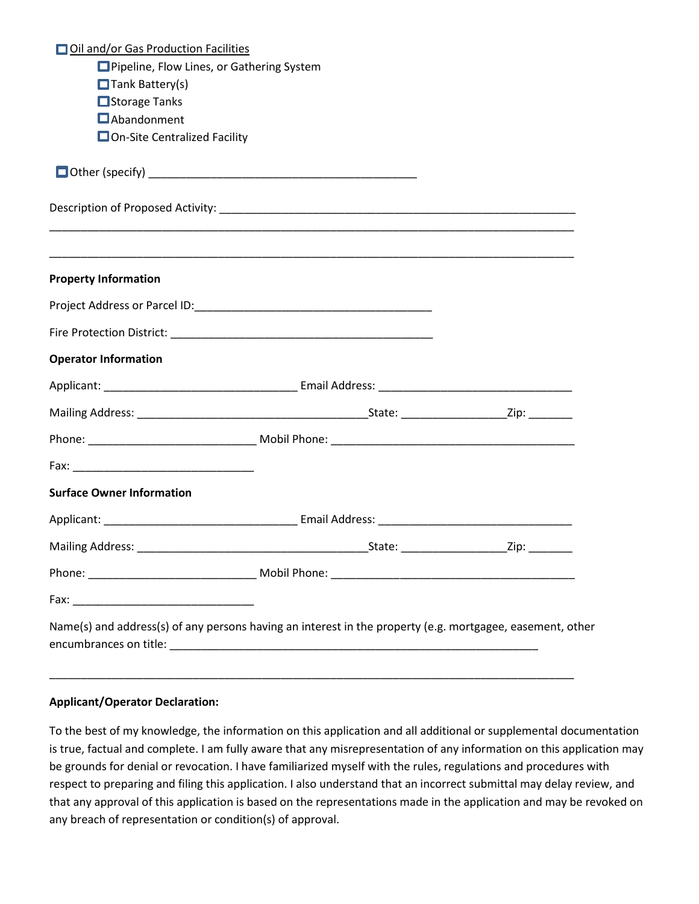| Oil and/or Gas Production Facilities                                                                                  |  |
|-----------------------------------------------------------------------------------------------------------------------|--|
| Pipeline, Flow Lines, or Gathering System                                                                             |  |
| $\Box$ Tank Battery(s)                                                                                                |  |
| Storage Tanks                                                                                                         |  |
| <b>O</b> Abandonment                                                                                                  |  |
| □ On-Site Centralized Facility                                                                                        |  |
|                                                                                                                       |  |
|                                                                                                                       |  |
| <u> 1989 - Johann Harry Harry Harry Harry Harry Harry Harry Harry Harry Harry Harry Harry Harry Harry Harry Harry</u> |  |
| <b>Property Information</b>                                                                                           |  |
|                                                                                                                       |  |
|                                                                                                                       |  |
| <b>Operator Information</b>                                                                                           |  |
|                                                                                                                       |  |
|                                                                                                                       |  |
|                                                                                                                       |  |
|                                                                                                                       |  |
| <b>Surface Owner Information</b>                                                                                      |  |
|                                                                                                                       |  |
|                                                                                                                       |  |
|                                                                                                                       |  |
|                                                                                                                       |  |
| Name(s) and address(s) of any persons having an interest in the property (e.g. mortgagee, easement, other             |  |

## **Applicant/Operator Declaration:**

To the best of my knowledge, the information on this application and all additional or supplemental documentation is true, factual and complete. I am fully aware that any misrepresentation of any information on this application may be grounds for denial or revocation. I have familiarized myself with the rules, regulations and procedures with respect to preparing and filing this application. I also understand that an incorrect submittal may delay review, and that any approval of this application is based on the representations made in the application and may be revoked on any breach of representation or condition(s) of approval.

\_\_\_\_\_\_\_\_\_\_\_\_\_\_\_\_\_\_\_\_\_\_\_\_\_\_\_\_\_\_\_\_\_\_\_\_\_\_\_\_\_\_\_\_\_\_\_\_\_\_\_\_\_\_\_\_\_\_\_\_\_\_\_\_\_\_\_\_\_\_\_\_\_\_\_\_\_\_\_\_\_\_\_\_